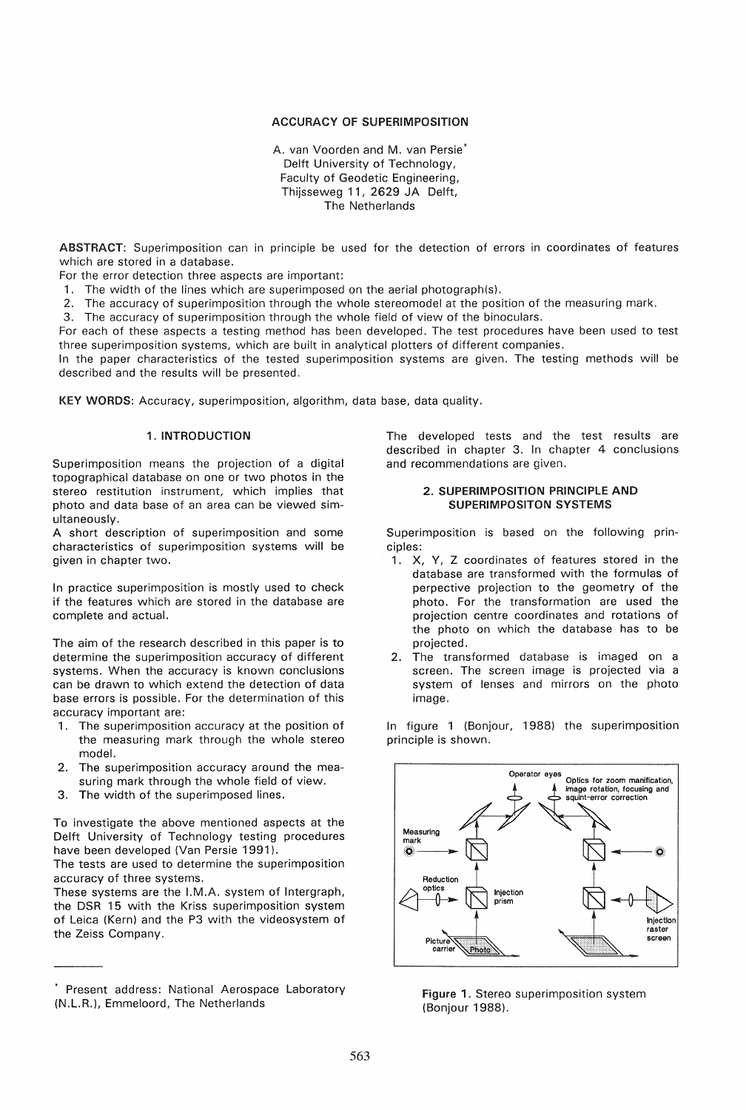## ACCURACY OF SUPERIMPOSITION

A. van Voorden and M. van Persie\* Delft University of Technology, Faculty of Geodetic Engineering, Thijsseweg 11, 2629 JA Delft, The Netherlands

ABSTRACT: Superimposition can in principle be used for the detection of errors in coordinates of features which are stored in a database.

For the error detection three aspects are important:

1. The width of the lines which are superimposed on the aerial photograph(s).

- 2. The accuracy of superimposition through the whole stereomodel at the position of the measuring mark.
- 3. The accuracy of superimposition through the whole field of view of the binoculars.

For each of these aspects a testing method has been developed. The test procedures have been used to test three superimposition systems, which are built in analytical plotters of different companies.

In the paper characteristics of the tested superimposition systems are given. The testing methods will be described and the results will be presented.

KEY WORDS: Accuracy, superimposition, algorithm, data base, data quality.

## 1. INTRODUCTION

Superimposition means the projection of a digital topographical database on one or two photos in the stereo restitution instrument, which implies that photo and data base of an area can be viewed simultaneously.

A short description of superimposition and some characteristics of superimposition systems will be given in chapter two.

In practice superimposition is mostly used to check if the features which are stored in the database are complete and actual.

The aim of the research described in this paper is to determine the superimposition accuracy of different systems. When the accuracy is known conclusions can be drawn to which extend the detection of data base errors is possible. For the determination of this accuracy important are:

- 1. The superimposition accuracy at the position of the measuring mark through the whole stereo model.
- 2. The superimposition accuracy around the measuring mark through the whole field of view.
- 3. The width of the superimposed lines.

To investigate the above mentioned aspects at the Delft University of Technology testing procedures have been developed (Van Persie 1991).

The tests are used to determine the superimposition accuracy of three systems.

These systems are the !.M.A. system of Intergraph, the DSR 15 with the Kriss superimposition system of Leica (Kern) and the P3 with the videosystem of the Zeiss Company.

The developed tests and the test results are described in chapter 3. In chapter 4 conclusions and recommendations are given.

# 2. SUPERIMPOSITION PRINCIPLE AND SUPERIMPOSITON SYSTEMS

Superimposition is based on the following principles:

- 1. X, Y, Z coordinates of features stored in the database are transformed with the formulas of perpective projection to the geometry of the photo. For the transformation are used the projection centre coordinates and rotations of the photo on which the database has to be projected.
- 2. The transformed database is imaged on a screen. The screen image is projected via a system of lenses and mirrors on the photo image.

in figure 1 (Bonjour, 1988) the superimposition principle is shown.



Figure 1. Stereo superimposition system (Bonjour 1988).

Present address: National Aerospace Laboratory (N.L.R.), Emmeloord, The Netherlands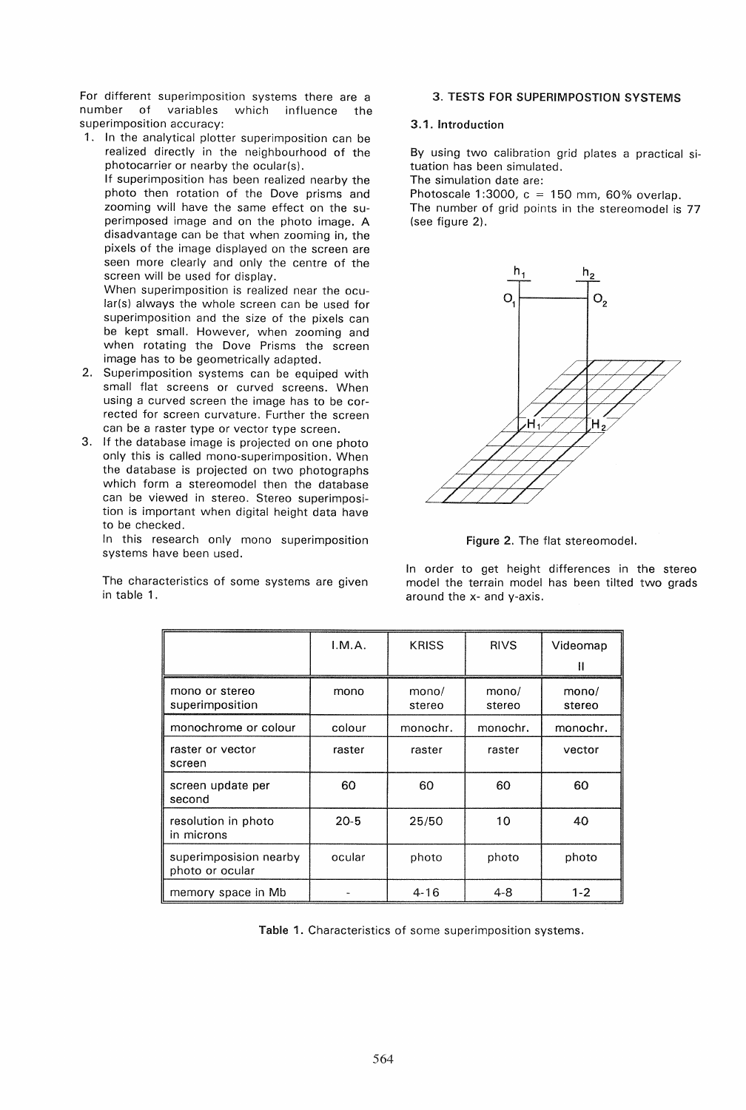For different superimposition systems there are a number of variables which influence the superimposition accuracy:

1. In the analytical plotter superimposition can be realized directly in the neighbourhood of the photocarrier or nearby the ocular(s).

If superimposition has been realized nearby the photo then rotation of the Dove prisms and zooming will have the same effect on the superimposed image and on the photo image. A disadvantage can be that when zooming in, the pixels of the image displayed on the screen are seen more clearly and only the centre of the screen will be used for display.

When superimposition is realized near the ocular(s) always the whole screen can be used for superimposition and the size of the pixels can be kept small. However, when zooming and when rotating the Dove Prisms the screen image has to be geometrically adapted.

- 2. Superimposition systems can be equiped with small flat screens or curved screens. When using a curved screen the image has to be corrected for screen curvature. Further the screen can be a raster type or vector type screen.
- 3. If the database image is projected on one photo only this is called mono-superimposition. When the database is projected on two photographs which form a stereomodel then the database can be viewed in stereo. Stereo superimposition is important when digital height data have to be checked.

In this research only mono superimposition systems have been used.

The characteristics of some systems are given in table 1.

# 3. TESTS FOR SUPERIMPOSTION SYSTEMS

# 3.1. Introduction

By using two calibration grid plates a practical situation has been simulated.

The simulation date are:

Photoscale 1:3000,  $c = 150$  mm, 60% overlap. The number of grid points in the stereomodel is 77 (see figure 2).



Figure 2. The flat stereomodel.

In order to get height differences in the stereo model the terrain model has been tilted two grads around the x- and y-axis.

|                                           | I.M.A.   | <b>KRISS</b>    | <b>RIVS</b>     | Videomap<br>Ш   |
|-------------------------------------------|----------|-----------------|-----------------|-----------------|
| mono or stereo<br>superimposition         | mono     | mono/<br>stereo | mono/<br>stereo | mono/<br>stereo |
| monochrome or colour                      | colour   | monochr.        | monochr.        | monochr.        |
| raster or vector<br>screen                | raster   | raster          | raster          | vector          |
| screen update per<br>second               | 60       | 60              | 60              | 60              |
| resolution in photo<br>in microns         | $20 - 5$ | 25/50           | 10              | 40              |
| superimposision nearby<br>photo or ocular | ocular   | photo           | photo           | photo           |
| memory space in Mb                        |          | $4 - 16$        | $4 - 8$         | $1 - 2$         |

Table 1. Characteristics of some superimposition systems.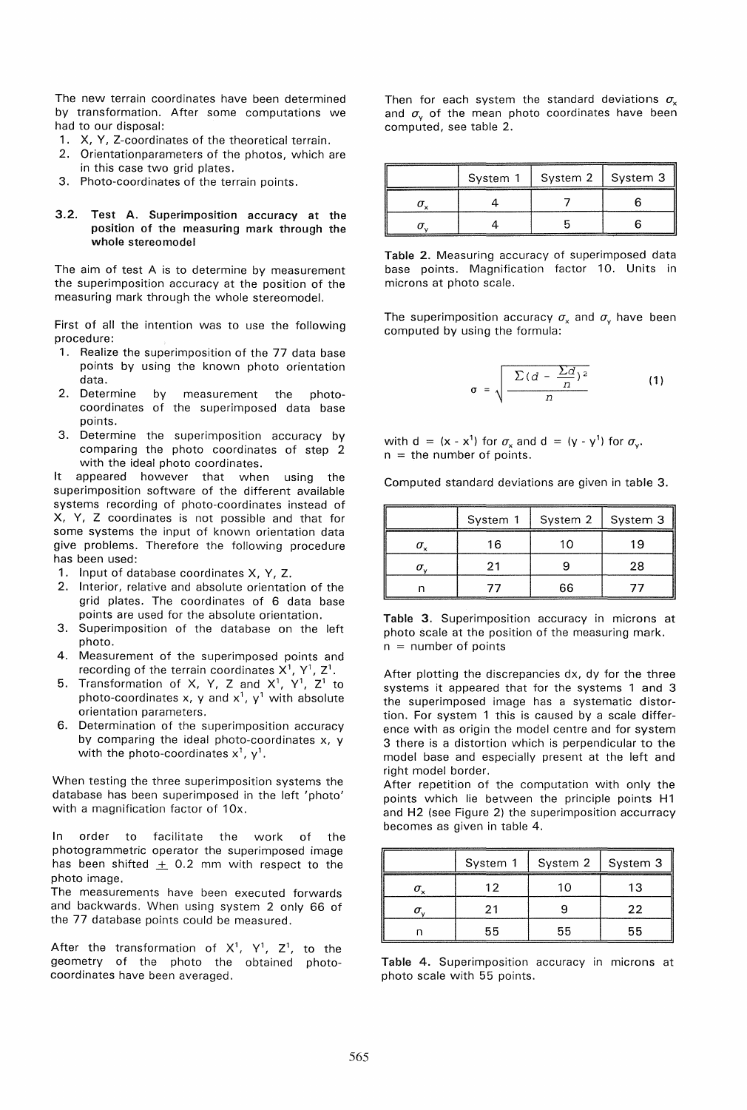The new terrain coordinates have been determined by transformation. After some computations we had to our disposal:

- 1. X, V, Z-coordinates of the theoretical terrain.
- 2. Orientationparameters of the photos, which are in this case two grid plates.
- 3. Photo-coordinates of the terrain points.

#### 3.2. Test A. Superimposition accuracy at the position of the measuring mark through the whole stereomodel

The aim of test A is to determine by measurement the superimposition accuracy at the position of the measuring mark through the whole stereomodel.

First of all the intention was to use the following procedure:

- 1. Realize the superimposition of the 77 data base points by using the known photo orientation data.
- 2. Determine by measurement the photocoordinates of the superimposed data base points.
- 3. Determine the superimposition accuracy by comparing the photo coordinates of step 2 with the ideal photo coordinates.

It appeared however that when using the superimposition software of the different available systems recording of photo-coordinates instead of X, V, Z coordinates is not possible and that for some systems the input of known orientation data give problems. Therefore the following procedure has been used:

- 1. Input of database coordinates X, V, Z.
- 2. Interior, relative and absolute orientation of the grid plates. The coordinates of 6 data base points are used for the absolute orientation.
- 3. Superimposition of the database on the left photo.
- 4. Measurement of the superimposed points and recording of the terrain coordinates  $X^1$ ,  $Y^1$ ,  $Z^1$ .
- 5. Transformation of X, Y, Z and  $X^1$ , Y<sup>1</sup>, Z<sup>1</sup> to photo-coordinates x, y and  $x^1$ ,  $y^1$  with absolute orientation parameters.
- 6. Determination of the superimposition accuracy by comparing the ideal photo-coordinates x, y with the photo-coordinates  $x^1$ ,  $y^1$ .

When testing the three superimposition systems the database has been superimposed in the left 'photo' with a magnification factor of 10x.

In order to facilitate the work of the photogrammetric operator the superimposed image has been shifted  $\pm$  0.2 mm with respect to the photo image.

The measurements have been executed forwards and backwards. When using system 2 only 66 of the 77 database points could be measured.

After the transformation of  $X^1$ ,  $Y^1$ ,  $Z^1$ , to the geometry of the photo the obtained photocoordinates have been averaged.

Then for each system the standard deviations  $\sigma_{\rm x}$ and  $\sigma_{v}$  of the mean photo coordinates have been computed, see table 2.

| System 1 | System 2<br>------------- | System 3 |
|----------|---------------------------|----------|
|          |                           |          |
|          |                           |          |

Table 2. Measuring accuracy of superimposed data base points. Magnification factor 10. Units in microns at photo scale.

The superimposition accuracy  $\sigma_x$  and  $\sigma_y$  have been computed by using the formula:

$$
\sigma = \sqrt{\frac{\sum (d - \frac{\sum d}{n})^2}{n}}
$$
 (1)

with  $d = (x - x^1)$  for  $\sigma_x$  and  $d = (y - y^1)$  for  $\sigma_y$ .  $n =$  the number of points.

Computed standard deviations are given in table 3.

| _____________ | System 1 | System 2   System 3 | <b></b> |
|---------------|----------|---------------------|---------|
|               | 16       |                     | 1 Q     |
|               |          |                     | 28      |
|               |          | 66                  |         |

Table 3. Superimposition accuracy in microns at photo scale at the position of the measuring mark.  $n =$  number of points

After plotting the discrepancies dx, dy for the three systems it appeared that for the systems 1 and 3 the superimposed image has a systematic distortion. For system 1 this is caused by a scale difference with as origin the model centre and for system 3 there is a distortion which is perpendicular to the model base and especially present at the left and right model border.

After repetition of the computation with only the points which lie between the principle points H1 and H2 (see Figure 2) the superimposition accurracy becomes as given in table 4.

| System 1 | System 2   System 3 |    |
|----------|---------------------|----|
| 19       | U                   | 13 |
| 21       |                     | 22 |
| 55       | 55                  | 55 |

Table 4. Superimposition accuracy in microns at photo scale with 55 points.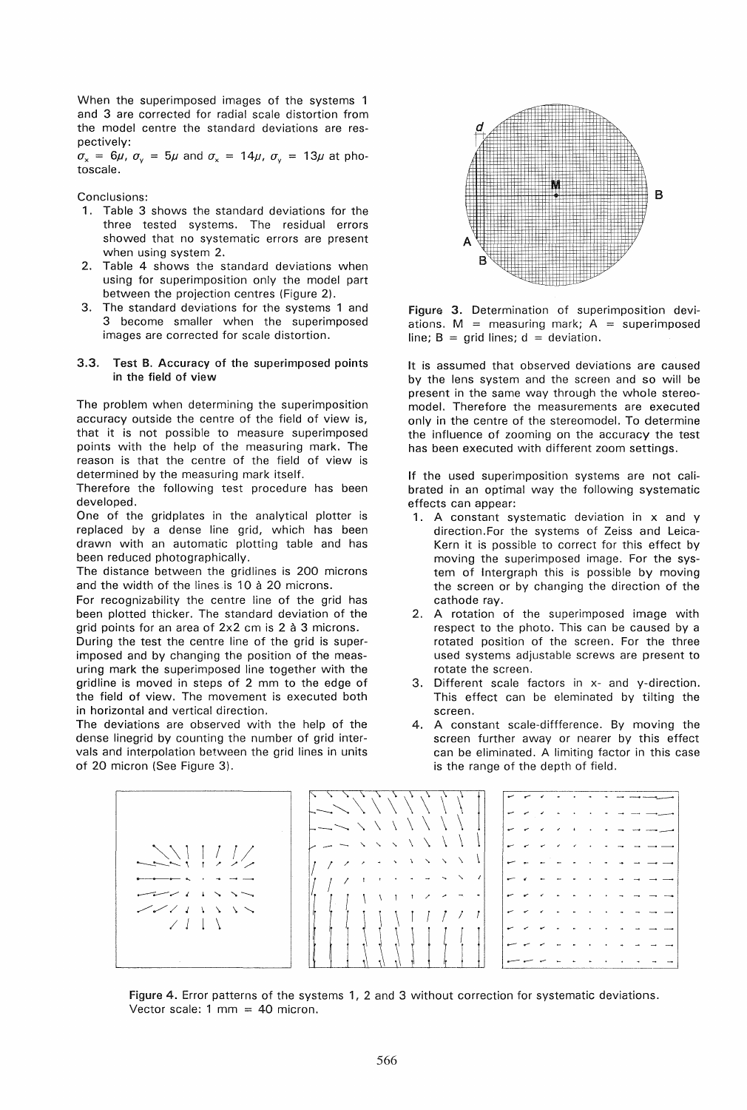When the superimposed images of the systems 1 and 3 are corrected for radial scale distortion from the model centre the standard deviations are respectively:

 $\sigma_x$  = 6 $\mu$ ,  $\sigma_y$  = 5 $\mu$  and  $\sigma_x$  = 14 $\mu$ ,  $\sigma_y$  = 13 $\mu$  at photoscale.

Conclusions:

- 1. Table 3 shows the standard deviations for the three tested systems. The residual errors showed that no systematic errors are present when using system 2.
- 2. Table 4 shows the standard deviations when using for superimposition only the model part between the projection centres (Figure 2).
- 3. The standard deviations for the systems 1 and 3 become smaller when the superimposed images are corrected for scale distortion.

## 3.3. Test B. Accuracy of the superimposed points in the field of view

The problem when determining the superimposition accuracy outside the centre of the field of view is, that it is not possible to measure superimposed points with the help of the measuring mark. The reason is that the centre of the field of view is determined by the measuring mark itself.

Therefore the following test procedure has been developed.

One of the gridplates in the analytical plotter is replaced by a dense line grid, which has been drawn with an automatic plotting table and has been reduced photographically.

The distance between the gridlines is 200 microns and the width of the lines is 10 à 20 microns.

For recognizability the centre line of the grid has been plotted thicker. The standard deviation of the grid points for an area of 2x2 cm is 2 à 3 microns.

During the test the centre line of the grid is superimposed and by changing the position of the measuring mark the superimposed line together with the gridline is moved in steps of 2 mm to the edge of the field of view. The movement is executed both in horizontal and vertical direction.

The deviations are observed with the help of the dense linegrid by counting the number of grid intervals and interpolation between the grid lines in units of 20 micron (See Figure 3).



Figure 3. Determination of superimposition deviations.  $M =$  measuring mark;  $A =$  superimposed line;  $B = \text{grid lines}$ ;  $d = \text{deviation}$ .

It is assumed that observed deviations are caused by the lens system and the screen and so will be present in the same way through the whole stereomodel. Therefore the measurements are executed only in the centre of the stereomodel. To determine the influence of zooming on the accuracy the test has been executed with different zoom settings.

If the used superimposition systems are not calibrated in an optimal way the following systematic effects can appear:

- 1. A constant systematic deviation in x and y direction.For the systems of Zeiss and Leica-Kern it is possible to correct for this effect by moving the superimposed image. For the system of Intergraph this is possible by moving the screen or by changing the direction of the cathode ray.
- 2. A rotation of the superimposed image with respect to the photo. This can be caused by a rotated position of the screen. For the three used systems adjustable screws are present to rotate the screen.
- 3. Different scale factors in x- and y-direction. This effect can be eleminated by tilting the screen.
- 4. A constant scale-diffference. By moving the screen further away or nearer by this effect can be eliminated. A limiting factor in this case is the range of the depth of field.



Figure 4. Error patterns of the systems 1, 2 and 3 without correction for systematic deviations. Vector scale:  $1 \text{ mm} = 40 \text{ micron}$ .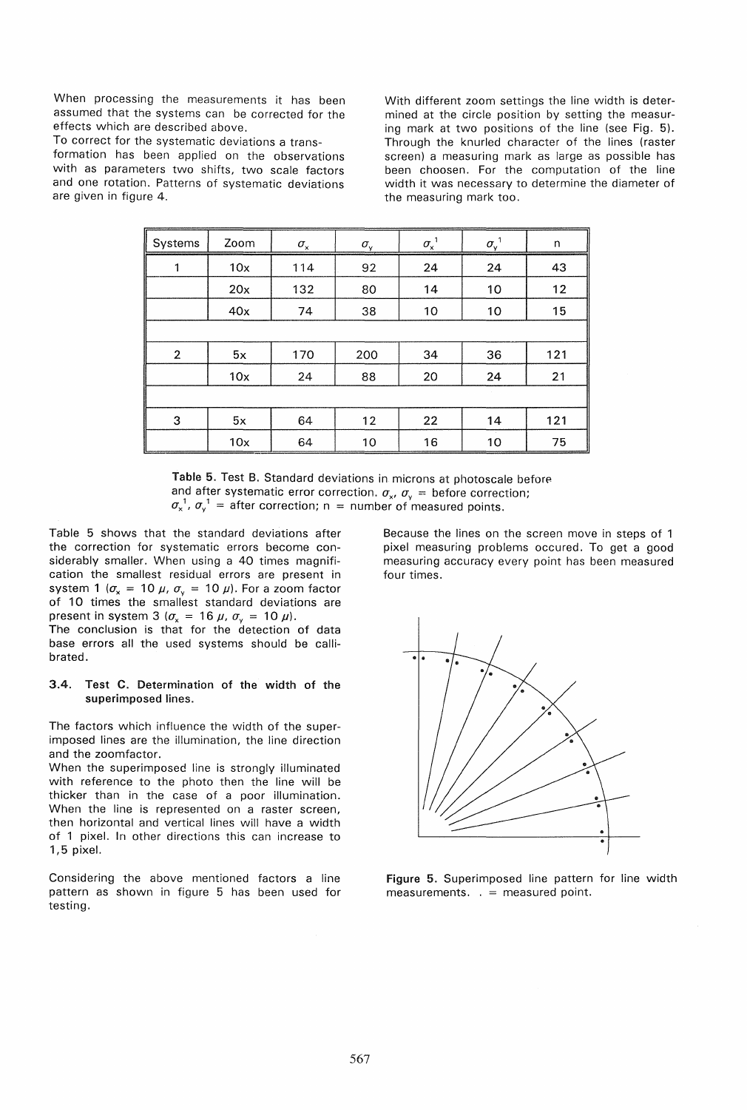When processing the measurements it has been assumed that the systems can be corrected for the effects which are described above.

To correct for the systematic deviations a transformation has been applied on the observations with as parameters two shifts, two scale factors and one rotation. Patterns of systematic deviations are given in figure 4.

With different zoom settings the line width is determined at the circle position by setting the measuring mark at two positions of the line (see Fig. 5). Through the knurled character of the lines (raster screen) a measuring mark as large as possible has been choosen. For the computation of the line width it was necessary to determine the diameter of the measuring mark too.

| Systems        | Zoom | $\sigma_{\rm x}$ | $\sigma_{\rm v}$ | $\sigma_{\rm x}^{\;1}$ | $\sigma_{\rm v}$ <sup>1</sup> | n   |  |
|----------------|------|------------------|------------------|------------------------|-------------------------------|-----|--|
| 1              | 10x  | 114              | 92               | 24                     | 24                            | 43  |  |
|                | 20x  | 132              | 80               | 14                     | 10                            | 12  |  |
|                | 40x  | 74               | 38               | 10                     | 10                            | 15  |  |
|                |      |                  |                  |                        |                               |     |  |
| $\overline{2}$ | 5x   | 170              | 200              | 34                     | 36                            | 121 |  |
|                | 10x  | 24               | 88               | 20                     | 24                            | 21  |  |
|                |      |                  |                  |                        |                               |     |  |
| 3              | 5x   | 64               | 12               | 22                     | 14                            | 121 |  |
|                | 10x  | 64               | 10               | 16                     | 10                            | 75  |  |

Table 5. Test B. Standard deviations in microns at photoscale before and after systematic error correction.  $\sigma_x$ ,  $\sigma_y$  = before correction;  $\sigma_{x}^{-1}$ ,  $\sigma_{y}^{-1}$  = after correction; n = number of measured points.

Table 5 shows that the standard deviations after the correction for systematic errors become considerably smaller. When using a 40 times magnification the smallest residual errors are present in system 1  $(\sigma_x = 10 \mu, \sigma_y = 10 \mu)$ . For a zoom factor of 10 times the smallest standard deviations are present in system 3 ( $\sigma_x$  = 16  $\mu$ ,  $\sigma_y$  = 10  $\mu$ ).

The conclusion is that for the detection of data base errors all the used systems should be callibrated.

## 3.4. Test C. Determination of the width of the superimposed lines.

The factors which influence the width of the superimposed lines are the illumination, the line direction and the zoomfactor.

When the superimposed line is strongly illuminated with reference to the photo then the line will be thicker than in the case of a poor illumination. When the line is represented on a raster screen, then horizontal and vertical lines will have a width of 1 pixel. In other directions this can increase to 1,5 pixel.

Considering the above mentioned factors a line pattern as shown in figure 5 has been used for testing.

Because the lines on the screen move in steps of 1 pixel measuring problems occured. To get a good measuring accuracy every point has been measured four times.



Figure 5. Superimposed line pattern for line width measurements.  $=$  measured point.